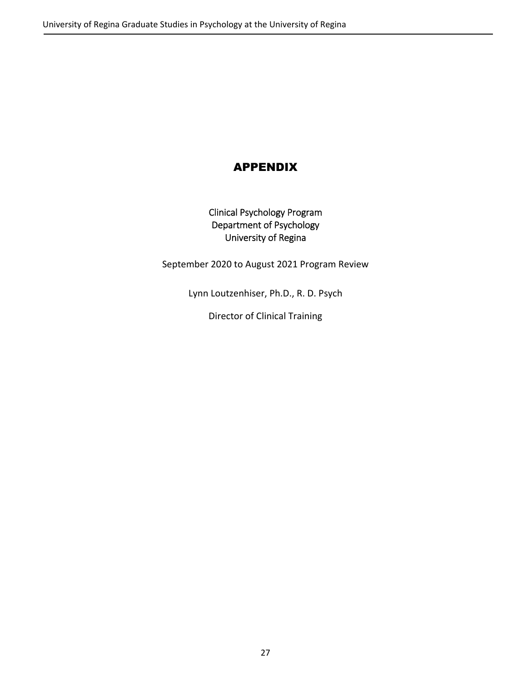# APPENDIX

Clinical Psychology Program Department of Psychology University of Regina

September 2020 to August 2021 Program Review

Lynn Loutzenhiser, Ph.D., R. D. Psych

Director of Clinical Training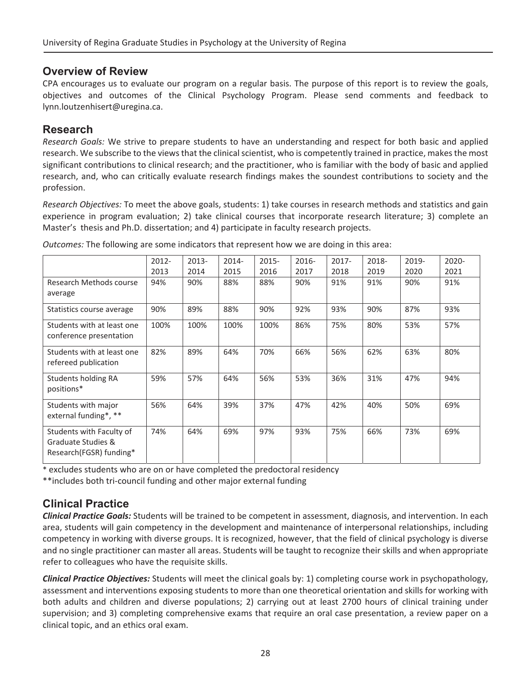## **Overview of Review**

CPA encourages us to evaluate our program on a regular basis. The purpose of this report is to review the goals, objectives and outcomes of the Clinical Psychology Program. Please send comments and feedback to lynn.loutzenhisert@uregina.ca.

## **Research**

*Research Goals:* We strive to prepare students to have an understanding and respect for both basic and applied research. We subscribe to the views that the clinical scientist, who is competently trained in practice, makes the most significant contributions to clinical research; and the practitioner, who is familiar with the body of basic and applied research, and, who can critically evaluate research findings makes the soundest contributions to society and the profession.

*Research Objectives:* To meet the above goals, students: 1) take courses in research methods and statistics and gain experience in program evaluation; 2) take clinical courses that incorporate research literature; 3) complete an Master's thesis and Ph.D. dissertation; and 4) participate in faculty research projects.

|                            | $2012 -$ | 2013- | 2014- | $2015 -$ | 2016- | $2017 -$ | 2018- | 2019- | 2020- |
|----------------------------|----------|-------|-------|----------|-------|----------|-------|-------|-------|
|                            | 2013     | 2014  | 2015  | 2016     | 2017  | 2018     | 2019  | 2020  | 2021  |
| Research Methods course    | 94%      | 90%   | 88%   | 88%      | 90%   | 91%      | 91%   | 90%   | 91%   |
| average                    |          |       |       |          |       |          |       |       |       |
| Statistics course average  | 90%      | 89%   | 88%   | 90%      | 92%   | 93%      | 90%   | 87%   | 93%   |
| Students with at least one | 100%     | 100%  | 100%  | 100%     | 86%   | 75%      | 80%   | 53%   | 57%   |
| conference presentation    |          |       |       |          |       |          |       |       |       |
| Students with at least one | 82%      | 89%   | 64%   | 70%      | 66%   | 56%      | 62%   | 63%   | 80%   |
| refereed publication       |          |       |       |          |       |          |       |       |       |
| <b>Students holding RA</b> | 59%      | 57%   | 64%   | 56%      | 53%   | 36%      | 31%   | 47%   | 94%   |
| positions*                 |          |       |       |          |       |          |       |       |       |
| Students with major        | 56%      | 64%   | 39%   | 37%      | 47%   | 42%      | 40%   | 50%   | 69%   |
| external funding*, **      |          |       |       |          |       |          |       |       |       |
| Students with Faculty of   | 74%      | 64%   | 69%   | 97%      | 93%   | 75%      | 66%   | 73%   | 69%   |
| Graduate Studies &         |          |       |       |          |       |          |       |       |       |
| Research(FGSR) funding*    |          |       |       |          |       |          |       |       |       |

*Outcomes:* The following are some indicators that represent how we are doing in this area:

\* excludes students who are on or have completed the predoctoral residency

\*\*includes both tri-council funding and other major external funding

# **Clinical Practice**

*Clinical Practice Goals:* Students will be trained to be competent in assessment, diagnosis, and intervention. In each area, students will gain competency in the development and maintenance of interpersonal relationships, including competency in working with diverse groups. It is recognized, however, that the field of clinical psychology is diverse and no single practitioner can master all areas. Students will be taught to recognize their skills and when appropriate refer to colleagues who have the requisite skills.

*Clinical Practice Objectives:* Students will meet the clinical goals by: 1) completing course work in psychopathology, assessment and interventions exposing students to more than one theoretical orientation and skills for working with both adults and children and diverse populations; 2) carrying out at least 2700 hours of clinical training under supervision; and 3) completing comprehensive exams that require an oral case presentation, a review paper on a clinical topic, and an ethics oral exam.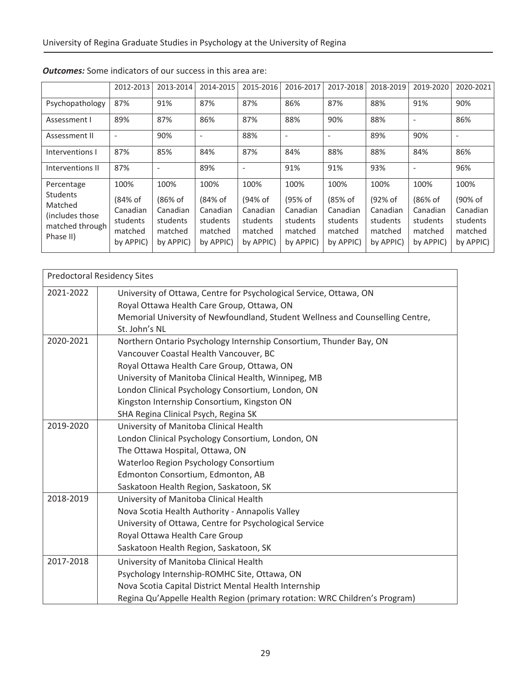|                                                  | 2012-2013                        | 2013-2014                        | 2014-2015                        | 2015-2016                        | 2016-2017                        | 2017-2018                        | 2018-2019                        | 2019-2020                        | 2020-2021                        |
|--------------------------------------------------|----------------------------------|----------------------------------|----------------------------------|----------------------------------|----------------------------------|----------------------------------|----------------------------------|----------------------------------|----------------------------------|
| Psychopathology                                  | 87%                              | 91%                              | 87%                              | 87%                              | 86%                              | 87%                              | 88%                              | 91%                              | 90%                              |
| Assessment I                                     | 89%                              | 87%                              | 86%                              | 87%                              | 88%                              | 90%                              | 88%                              |                                  | 86%                              |
| Assessment II                                    | $\overline{\phantom{a}}$         | 90%                              | $\overline{\phantom{a}}$         | 88%                              | $\overline{\phantom{a}}$         |                                  | 89%                              | 90%                              | $\overline{\phantom{a}}$         |
| Interventions I                                  | 87%                              | 85%                              | 84%                              | 87%                              | 84%                              | 88%                              | 88%                              | 84%                              | 86%                              |
| Interventions II                                 | 87%                              |                                  | 89%                              | ٠                                | 91%                              | 91%                              | 93%                              |                                  | 96%                              |
| Percentage<br>Students<br>Matched                | 100%<br>(84% of<br>Canadian      | 100%<br>(86% of<br>Canadian      | 100%<br>(84% of<br>Canadian      | 100%<br>(94% of<br>Canadian      | 100%<br>(95% of<br>Canadian      | 100%<br>(85% of<br>Canadian      | 100%<br>(92% of<br>Canadian      | 100%<br>(86% of<br>Canadian      | 100%<br>(90% of<br>Canadian      |
| (includes those)<br>matched through<br>Phase II) | students<br>matched<br>by APPIC) | students<br>matched<br>by APPIC) | students<br>matched<br>by APPIC) | students<br>matched<br>by APPIC) | students<br>matched<br>by APPIC) | students<br>matched<br>by APPIC) | students<br>matched<br>by APPIC) | students<br>matched<br>by APPIC) | students<br>matched<br>by APPIC) |

|           | <b>Predoctoral Residency Sites</b>                                            |
|-----------|-------------------------------------------------------------------------------|
| 2021-2022 | University of Ottawa, Centre for Psychological Service, Ottawa, ON            |
|           | Royal Ottawa Health Care Group, Ottawa, ON                                    |
|           | Memorial University of Newfoundland, Student Wellness and Counselling Centre, |
|           | St. John's NL                                                                 |
| 2020-2021 | Northern Ontario Psychology Internship Consortium, Thunder Bay, ON            |
|           | Vancouver Coastal Health Vancouver, BC                                        |
|           | Royal Ottawa Health Care Group, Ottawa, ON                                    |
|           | University of Manitoba Clinical Health, Winnipeg, MB                          |
|           | London Clinical Psychology Consortium, London, ON                             |
|           | Kingston Internship Consortium, Kingston ON                                   |
|           | SHA Regina Clinical Psych, Regina SK                                          |
| 2019-2020 | University of Manitoba Clinical Health                                        |
|           | London Clinical Psychology Consortium, London, ON                             |
|           | The Ottawa Hospital, Ottawa, ON                                               |
|           | Waterloo Region Psychology Consortium                                         |
|           | Edmonton Consortium, Edmonton, AB                                             |
|           | Saskatoon Health Region, Saskatoon, SK                                        |
| 2018-2019 | University of Manitoba Clinical Health                                        |
|           | Nova Scotia Health Authority - Annapolis Valley                               |
|           | University of Ottawa, Centre for Psychological Service                        |
|           | Royal Ottawa Health Care Group                                                |
|           | Saskatoon Health Region, Saskatoon, SK                                        |
| 2017-2018 | University of Manitoba Clinical Health                                        |
|           | Psychology Internship-ROMHC Site, Ottawa, ON                                  |
|           | Nova Scotia Capital District Mental Health Internship                         |
|           | Regina Qu'Appelle Health Region (primary rotation: WRC Children's Program)    |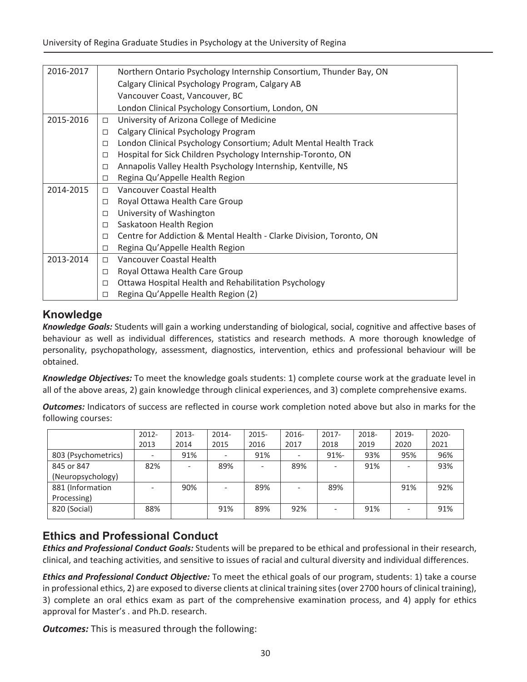| 2016-2017 |        | Northern Ontario Psychology Internship Consortium, Thunder Bay, ON  |
|-----------|--------|---------------------------------------------------------------------|
|           |        | Calgary Clinical Psychology Program, Calgary AB                     |
|           |        | Vancouver Coast, Vancouver, BC                                      |
|           |        | London Clinical Psychology Consortium, London, ON                   |
| 2015-2016 | □      | University of Arizona College of Medicine                           |
|           | $\Box$ | Calgary Clinical Psychology Program                                 |
|           | □      | London Clinical Psychology Consortium; Adult Mental Health Track    |
|           | □      | Hospital for Sick Children Psychology Internship-Toronto, ON        |
|           | □      | Annapolis Valley Health Psychology Internship, Kentville, NS        |
|           | $\Box$ | Regina Qu'Appelle Health Region                                     |
| 2014-2015 | П      | Vancouver Coastal Health                                            |
|           | $\Box$ | Royal Ottawa Health Care Group                                      |
|           | $\Box$ | University of Washington                                            |
|           | □      | Saskatoon Health Region                                             |
|           | П      | Centre for Addiction & Mental Health - Clarke Division, Toronto, ON |
|           | □      | Regina Qu'Appelle Health Region                                     |
| 2013-2014 | $\Box$ | Vancouver Coastal Health                                            |
|           | $\Box$ | Royal Ottawa Health Care Group                                      |
|           | □      | Ottawa Hospital Health and Rehabilitation Psychology                |
|           | □      | Regina Qu'Appelle Health Region (2)                                 |

# **Knowledge**

*Knowledge Goals:* Students will gain a working understanding of biological, social, cognitive and affective bases of behaviour as well as individual differences, statistics and research methods. A more thorough knowledge of personality, psychopathology, assessment, diagnostics, intervention, ethics and professional behaviour will be obtained.

*Knowledge Objectives:* To meet the knowledge goals students: 1) complete course work at the graduate level in all of the above areas, 2) gain knowledge through clinical experiences, and 3) complete comprehensive exams.

*Outcomes:* Indicators of success are reflected in course work completion noted above but also in marks for the following courses:

|                     | $2012 -$ | 2013- | $2014 -$ | 2015- | 2016- | $2017 -$ | 2018- | 2019- | $2020 -$ |
|---------------------|----------|-------|----------|-------|-------|----------|-------|-------|----------|
|                     | 2013     | 2014  | 2015     | 2016  | 2017  | 2018     | 2019  | 2020  | 2021     |
| 803 (Psychometrics) |          | 91%   |          | 91%   |       | $91% -$  | 93%   | 95%   | 96%      |
| 845 or 847          | 82%      |       | 89%      |       | 89%   |          | 91%   |       | 93%      |
| (Neuropsychology)   |          |       |          |       |       |          |       |       |          |
| 881 (Information    |          | 90%   |          | 89%   |       | 89%      |       | 91%   | 92%      |
| Processing)         |          |       |          |       |       |          |       |       |          |
| 820 (Social)        | 88%      |       | 91%      | 89%   | 92%   |          | 91%   |       | 91%      |
|                     |          |       |          |       |       |          |       |       |          |

# **Ethics and Professional Conduct**

*Ethics and Professional Conduct Goals:* Students will be prepared to be ethical and professional in their research, clinical, and teaching activities, and sensitive to issues of racial and cultural diversity and individual differences.

*Ethics and Professional Conduct Objective:* To meet the ethical goals of our program, students: 1) take a course in professional ethics, 2) are exposed to diverse clients at clinical training sites(over 2700 hours of clinical training), 3) complete an oral ethics exam as part of the comprehensive examination process, and 4) apply for ethics approval for Master's . and Ph.D. research.

*Outcomes:* This is measured through the following: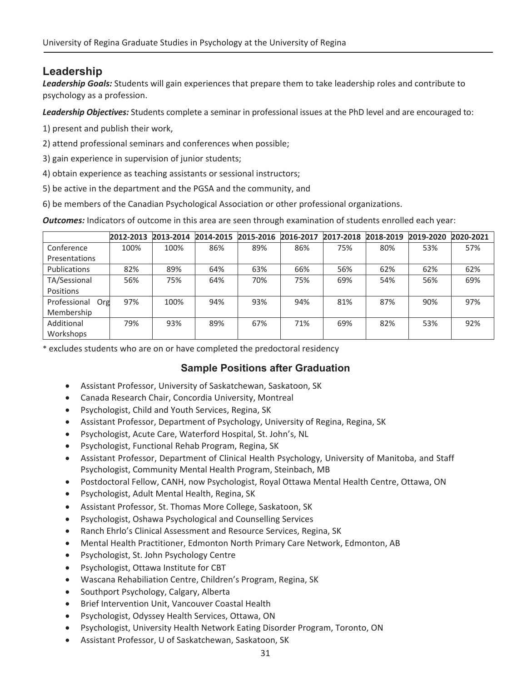# **Leadership**

*Leadership Goals:* Students will gain experiences that prepare them to take leadership roles and contribute to psychology as a profession.

*Leadership Objectives:* Students complete a seminar in professional issues at the PhD level and are encouraged to:

- 1) present and publish their work,
- 2) attend professional seminars and conferences when possible;
- 3) gain experience in supervision of junior students;
- 4) obtain experience as teaching assistants or sessional instructors;
- 5) be active in the department and the PGSA and the community, and
- 6) be members of the Canadian Psychological Association or other professional organizations.

*Outcomes:* Indicators of outcome in this area are seen through examination of students enrolled each year:

|                     | 2012-2013 | 2013-2014 | 2014-2015 | 2015-2016 | 2016-2017 | 2017-2018 | 2018-2019 | 2019-2020 | 2020-2021 |
|---------------------|-----------|-----------|-----------|-----------|-----------|-----------|-----------|-----------|-----------|
| Conference          | 100%      | 100%      | 86%       | 89%       | 86%       | 75%       | 80%       | 53%       | 57%       |
| Presentations       |           |           |           |           |           |           |           |           |           |
| <b>Publications</b> | 82%       | 89%       | 64%       | 63%       | 66%       | 56%       | 62%       | 62%       | 62%       |
| TA/Sessional        | 56%       | 75%       | 64%       | 70%       | 75%       | 69%       | 54%       | 56%       | 69%       |
| Positions           |           |           |           |           |           |           |           |           |           |
| Professional<br>Org | 97%       | 100%      | 94%       | 93%       | 94%       | 81%       | 87%       | 90%       | 97%       |
| Membership          |           |           |           |           |           |           |           |           |           |
| Additional          | 79%       | 93%       | 89%       | 67%       | 71%       | 69%       | 82%       | 53%       | 92%       |
| Workshops           |           |           |           |           |           |           |           |           |           |

\* excludes students who are on or have completed the predoctoral residency

### **Sample Positions after Graduation**

- **•** Assistant Professor, University of Saskatchewan, Saskatoon, SK
- Canada Research Chair, Concordia University, Montreal
- Psychologist, Child and Youth Services, Regina, SK
- Assistant Professor, Department of Psychology, University of Regina, Regina, SK
- Psychologist, Acute Care, Waterford Hospital, St. John's, NL
- Psychologist, Functional Rehab Program, Regina, SK
- Assistant Professor, Department of Clinical Health Psychology, University of Manitoba, and Staff Psychologist, Community Mental Health Program, Steinbach, MB
- Postdoctoral Fellow, CANH, now Psychologist, Royal Ottawa Mental Health Centre, Ottawa, ON
- Psychologist, Adult Mental Health, Regina, SK
- Assistant Professor, St. Thomas More College, Saskatoon, SK
- Psychologist, Oshawa Psychological and Counselling Services
- Ranch Ehrlo's Clinical Assessment and Resource Services, Regina, SK
- Mental Health Practitioner, Edmonton North Primary Care Network, Edmonton, AB
- Psychologist, St. John Psychology Centre
- Psychologist, Ottawa Institute for CBT
- Wascana Rehabiliation Centre, Children's Program, Regina, SK
- Southport Psychology, Calgary, Alberta
- **•** Brief Intervention Unit, Vancouver Coastal Health
- Psychologist, Odyssey Health Services, Ottawa, ON
- Psychologist, University Health Network Eating Disorder Program, Toronto, ON
- **•** Assistant Professor, U of Saskatchewan, Saskatoon, SK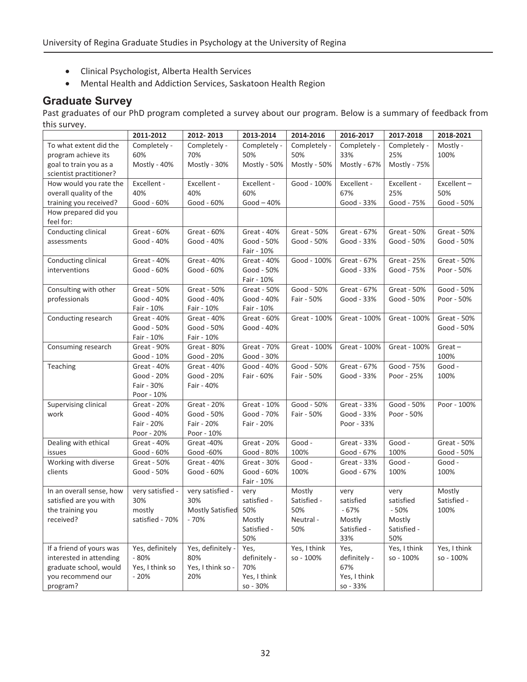- Clinical Psychologist, Alberta Health Services
- Mental Health and Addiction Services, Saskatoon Health Region

# **Graduate Survey**

Past graduates of our PhD program completed a survey about our program. Below is a summary of feedback from this survey.

|                                   | 2011-2012        | 2012-2013               | 2013-2014          | 2014-2016    | 2016-2017          | 2017-2018             | 2018-2021             |
|-----------------------------------|------------------|-------------------------|--------------------|--------------|--------------------|-----------------------|-----------------------|
| To what extent did the            | Completely -     | Completely -            | Completely -       | Completely - | Completely -       | Completely -          | Mostly -              |
| program achieve its               | 60%              | 70%                     | 50%                | 50%          | 33%                | 25%                   | 100%                  |
| goal to train you as a            | Mostly - 40%     | Mostly - 30%            | Mostly - 50%       | Mostly - 50% | Mostly - 67%       | Mostly - 75%          |                       |
| scientist practitioner?           |                  |                         |                    |              |                    |                       |                       |
| How would you rate the            | Excellent -      | Excellent -             | Excellent -        | Good - 100%  | Excellent -        | Excellent -           | Excellent-            |
| overall quality of the            | 40%              | 40%                     | 60%                |              | 67%                | 25%                   | 50%                   |
| training you received?            | Good - 60%       | Good - 60%              | $Good-40%$         |              | Good - 33%         | Good - 75%            | Good - 50%            |
| How prepared did you<br>feel for: |                  |                         |                    |              |                    |                       |                       |
| Conducting clinical               | Great - 60%      | Great - 60%             | Great - 40%        | Great - 50%  | Great - 67%        | Great - 50%           | Great - 50%           |
| assessments                       | Good - 40%       | Good - 40%              | Good - 50%         | Good - 50%   | Good - 33%         | Good - 50%            | Good - 50%            |
|                                   |                  |                         | Fair - 10%         |              |                    |                       |                       |
| Conducting clinical               | Great - 40%      | Great - 40%             | Great - 40%        | Good - 100%  | Great - 67%        | <b>Great - 25%</b>    | Great - 50%           |
| interventions                     | Good - 60%       | Good - 60%              | Good - 50%         |              | Good - 33%         | Good - 75%            | Poor - 50%            |
|                                   |                  |                         | Fair - 10%         |              |                    |                       |                       |
| Consulting with other             | Great - 50%      | Great - 50%             | Great - 50%        | Good - 50%   | Great - 67%        | Great - 50%           | Good - 50%            |
| professionals                     | Good - 40%       | Good - 40%              | Good - 40%         | Fair - 50%   | Good - 33%         | Good - 50%            | Poor - 50%            |
|                                   | Fair - 10%       | Fair - 10%              | Fair - 10%         |              |                    |                       |                       |
| Conducting research               | Great - 40%      | Great - 40%             | Great - 60%        | Great - 100% | Great - 100%       | Great - 100%          | Great - 50%           |
|                                   | Good - 50%       | Good - 50%              | Good - 40%         |              |                    |                       | Good - 50%            |
|                                   | Fair - 10%       | Fair - 10%              |                    |              |                    |                       |                       |
| Consuming research                | Great - 90%      | Great - 80%             | Great - 70%        | Great - 100% | Great - 100%       | Great - 100%          | $Great -$             |
|                                   | Good - 10%       | Good - 20%              | Good - 30%         |              |                    |                       | 100%                  |
| Teaching                          | Great - 40%      | Great - 40%             | Good - 40%         | Good - 50%   | Great - 67%        | Good - 75%            | Good -                |
|                                   | Good - 20%       | Good - 20%              | Fair - 60%         | Fair - 50%   | Good - 33%         | Poor - 25%            | 100%                  |
|                                   | Fair - 30%       | Fair - 40%              |                    |              |                    |                       |                       |
|                                   | Poor - 10%       |                         |                    |              |                    |                       |                       |
| Supervising clinical              | Great - 20%      | Great - 20%             | Great - 10%        | Good - 50%   | Great - 33%        | Good - 50%            | Poor - 100%           |
| work                              | Good - 40%       | Good - 50%              | Good - 70%         | Fair - 50%   | Good - 33%         | Poor - 50%            |                       |
|                                   | Fair - 20%       | Fair - 20%              | Fair - 20%         |              | Poor - 33%         |                       |                       |
|                                   | Poor - 20%       | Poor - 10%              |                    |              |                    |                       |                       |
| Dealing with ethical              | Great - 40%      | Great -40%              | Great - 20%        | Good -       | Great - 33%        | Good -                | Great - 50%           |
| issues                            | Good - 60%       | Good -60%               | Good - 80%         | 100%         | Good - 67%         | 100%                  | Good - 50%            |
| Working with diverse              | Great - 50%      | Great - 40%             | Great - 30%        | Good -       | Great - 33%        | Good -                | Good -                |
| clients                           | Good - 50%       | Good - 60%              | Good - 60%         | 100%         | Good - 67%         | 100%                  | 100%                  |
|                                   |                  |                         | Fair - 10%         |              |                    |                       |                       |
| In an overall sense, how          | very satisfied - | very satisfied -        | very               | Mostly       | very               | very                  | Mostly<br>Satisfied - |
| satisfied are you with            | 30%              | 30%                     | satisfied -        | Satisfied -  | satisfied          | satisfied             |                       |
| the training you                  | mostly           | <b>Mostly Satisfied</b> | 50%                | 50%          | $-67%$             | $-50%$                | 100%                  |
| received?                         | satisfied - 70%  | - 70%                   | Mostly             | Neutral-     | Mostly             | Mostly<br>Satisfied - |                       |
|                                   |                  |                         | Satisfied -<br>50% | 50%          | Satisfied -<br>33% | 50%                   |                       |
| If a friend of yours was          | Yes, definitely  | Yes, definitely -       | Yes,               | Yes, I think | Yes,               | Yes, I think          | Yes, I think          |
| interested in attending           | $-80%$           | 80%                     | definitely -       | so - 100%    | definitely -       | so - 100%             | so - 100%             |
| graduate school, would            | Yes, I think so  | Yes, I think so -       | 70%                |              | 67%                |                       |                       |
| you recommend our                 | $-20%$           | 20%                     | Yes, I think       |              | Yes, I think       |                       |                       |
| program?                          |                  |                         | so - 30%           |              | so - 33%           |                       |                       |
|                                   |                  |                         |                    |              |                    |                       |                       |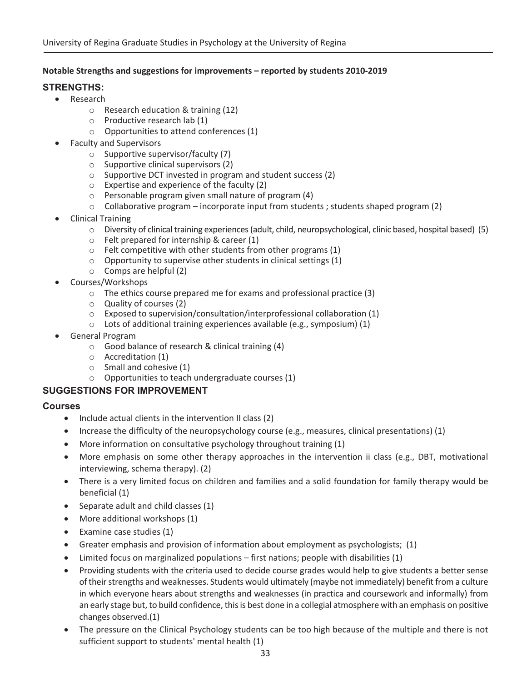#### **Notable Strengths and suggestions for improvements – reported by students 2010Ͳ2019**

### **STRENGTHS:**

- Research
	- o Research education & training (12)
	- o Productive research lab (1)
	- o Opportunities to attend conferences (1)
- Faculty and Supervisors
	- o Supportive supervisor/faculty (7)
	- o Supportive clinical supervisors (2)
	- o Supportive DCT invested in program and student success (2)
	- o Expertise and experience of the faculty (2)
	- o Personable program given small nature of program (4)
	- $\circ$  Collaborative program incorporate input from students ; students shaped program (2)
- **Clinical Training** 
	- $\circ$  Diversity of clinical training experiences (adult, child, neuropsychological, clinic based, hospital based) (5)
	- o Felt prepared for internship & career (1)
	- o Felt competitive with other students from other programs (1)
	- $\circ$  Opportunity to supervise other students in clinical settings (1)
	- o Comps are helpful (2)
- Courses/Workshops
	- o The ethics course prepared me for exams and professional practice (3)
	- o Quality of courses (2)
	- o Exposed to supervision/consultation/interprofessional collaboration (1)
	- $\circ$  Lots of additional training experiences available (e.g., symposium) (1)
- General Program
	- o Good balance of research & clinical training (4)
	- o Accreditation (1)
	- o Small and cohesive (1)
	- o Opportunities to teach undergraduate courses (1)

#### **SUGGESTIONS FOR IMPROVEMENT**

#### **Courses**

- $\bullet$  Include actual clients in the intervention II class (2)
- Increase the difficulty of the neuropsychology course (e.g., measures, clinical presentations) (1)
- More information on consultative psychology throughout training (1)
- More emphasis on some other therapy approaches in the intervention ii class (e.g., DBT, motivational interviewing, schema therapy). (2)
- There is a very limited focus on children and families and a solid foundation for family therapy would be beneficial (1)
- $\bullet$  Separate adult and child classes (1)
- $\bullet$  More additional workshops (1)
- $\bullet$  Examine case studies (1)
- Greater emphasis and provision of information about employment as psychologists;  $(1)$
- $\bullet$  Limited focus on marginalized populations first nations; people with disabilities (1)
- Providing students with the criteria used to decide course grades would help to give students a better sense of their strengths and weaknesses. Students would ultimately (maybe not immediately) benefit from a culture in which everyone hears about strengths and weaknesses (in practica and coursework and informally) from an early stage but, to build confidence, this is best done in a collegial atmosphere with an emphasis on positive changes observed.(1)
- The pressure on the Clinical Psychology students can be too high because of the multiple and there is not sufficient support to students' mental health (1)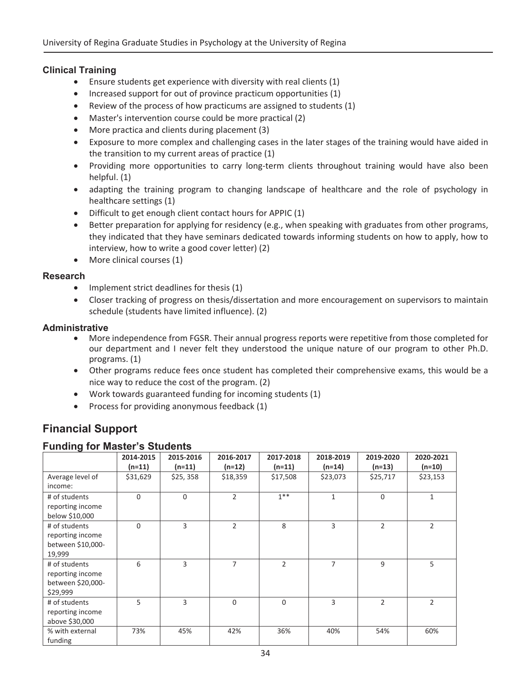#### **Clinical Training**

- Ensure students get experience with diversity with real clients (1)
- $\bullet$  Increased support for out of province practicum opportunities (1)
- Review of the process of how practicums are assigned to students  $(1)$
- Master's intervention course could be more practical (2)
- More practica and clients during placement (3)
- Exposure to more complex and challenging cases in the later stages of the training would have aided in the transition to my current areas of practice (1)
- Providing more opportunities to carry long-term clients throughout training would have also been helpful. (1)
- adapting the training program to changing landscape of healthcare and the role of psychology in healthcare settings (1)
- Difficult to get enough client contact hours for APPIC (1)
- Better preparation for applying for residency (e.g., when speaking with graduates from other programs, they indicated that they have seminars dedicated towards informing students on how to apply, how to interview, how to write a good cover letter) (2)
- $\bullet$  More clinical courses (1)

#### **Research**

- $\bullet$  Implement strict deadlines for thesis (1)
- Closer tracking of progress on thesis/dissertation and more encouragement on supervisors to maintain schedule (students have limited influence). (2)

#### **Administrative**

- More independence from FGSR. Their annual progress reports were repetitive from those completed for our department and I never felt they understood the unique nature of our program to other Ph.D. programs. (1)
- Other programs reduce fees once student has completed their comprehensive exams, this would be a nice way to reduce the cost of the program. (2)
- $\bullet$  Work towards guaranteed funding for incoming students (1)
- Process for providing anonymous feedback (1)

# **Financial Support**

#### **Funding for Master's Students**

| ັ                                                                  | 2014-2015<br>$(n=11)$ | 2015-2016<br>$(n=11)$ | 2016-2017<br>$(n=12)$ | 2017-2018<br>$(n=11)$ | 2018-2019<br>(n=14) | 2019-2020<br>$(n=13)$ | 2020-2021<br>$(n=10)$ |
|--------------------------------------------------------------------|-----------------------|-----------------------|-----------------------|-----------------------|---------------------|-----------------------|-----------------------|
| Average level of<br>income:                                        | \$31,629              | \$25, 358             | \$18,359              | \$17,508              | \$23,073            | \$25,717              | \$23,153              |
| # of students<br>reporting income<br>below \$10,000                | $\Omega$              | $\Omega$              | 2                     | $1**$                 | $\mathbf{1}$        | $\Omega$              | 1                     |
| # of students<br>reporting income<br>between \$10,000-<br>19,999   | $\Omega$              | 3                     | $\overline{2}$        | 8                     | 3                   | $\overline{2}$        | $\overline{2}$        |
| # of students<br>reporting income<br>between \$20,000-<br>\$29,999 | 6                     | 3                     | 7                     | $\overline{2}$        | $\overline{7}$      | 9                     | 5                     |
| # of students<br>reporting income<br>above \$30,000                | 5                     | 3                     | $\Omega$              | $\Omega$              | 3                   | $\overline{2}$        | $\overline{2}$        |
| % with external<br>funding                                         | 73%                   | 45%                   | 42%                   | 36%                   | 40%                 | 54%                   | 60%                   |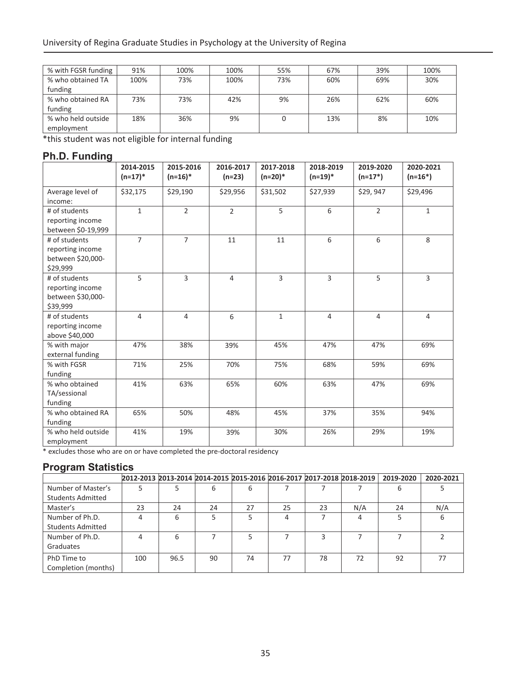| % with FGSR funding | 91%  | 100% | 100% | 55% | 67% | 39% | 100% |
|---------------------|------|------|------|-----|-----|-----|------|
| % who obtained TA   | 100% | 73%  | 100% | 73% | 60% | 69% | 30%  |
| funding             |      |      |      |     |     |     |      |
| % who obtained RA   | 73%  | 73%  | 42%  | 9%  | 26% | 62% | 60%  |
| funding             |      |      |      |     |     |     |      |
| % who held outside  | 18%  | 36%  | 9%   |     | 13% | 8%  | 10%  |
| employment          |      |      |      |     |     |     |      |

\*this student was not eligible for internal funding

## **Ph.D. Funding**

|                                                                    | 2014-2015<br>$(n=17)^*$ | 2015-2016<br>$(n=16)*$ | 2016-2017<br>$(n=23)$ | 2017-2018<br>$(n=20)*$ | 2018-2019<br>$(n=19)*$ | 2019-2020<br>$(n=17*)$ | 2020-2021<br>$(n=16*)$ |
|--------------------------------------------------------------------|-------------------------|------------------------|-----------------------|------------------------|------------------------|------------------------|------------------------|
| Average level of<br>income:                                        | \$32,175                | \$29,190               | \$29,956              | \$31,502               | \$27,939               | \$29,947               | \$29,496               |
| # of students<br>reporting income<br>between \$0-19,999            | $\mathbf{1}$            | $\overline{2}$         | $\overline{2}$        | 5                      | 6                      | $\mathcal{L}$          | $\mathbf{1}$           |
| # of students<br>reporting income<br>between \$20,000-<br>\$29,999 | $\overline{7}$          | $\overline{7}$         | 11                    | 11                     | 6                      | 6                      | 8                      |
| # of students<br>reporting income<br>between \$30,000-<br>\$39,999 | 5                       | 3                      | $\overline{4}$        | 3                      | 3                      | 5                      | 3                      |
| # of students<br>reporting income<br>above \$40,000                | 4                       | $\overline{4}$         | 6                     | $\mathbf{1}$           | $\overline{4}$         | $\overline{4}$         | $\overline{4}$         |
| % with major<br>external funding                                   | 47%                     | 38%                    | 39%                   | 45%                    | 47%                    | 47%                    | 69%                    |
| % with FGSR<br>funding                                             | 71%                     | 25%                    | 70%                   | 75%                    | 68%                    | 59%                    | 69%                    |
| % who obtained<br>TA/sessional<br>funding                          | 41%                     | 63%                    | 65%                   | 60%                    | 63%                    | 47%                    | 69%                    |
| % who obtained RA<br>funding                                       | 65%                     | 50%                    | 48%                   | 45%                    | 37%                    | 35%                    | 94%                    |
| % who held outside<br>employment                                   | 41%                     | 19%                    | 39%                   | 30%                    | 26%                    | 29%                    | 19%                    |

\* excludes those who are on or have completed the pre-doctoral residency

## **Program Statistics**

|                          | 2012-2013 2013-2014 2014-2015 2015-2016 2016-2017 2017-2018 2018-2019 |      |    |    |    |    |     | 2019-2020 | 2020-2021 |
|--------------------------|-----------------------------------------------------------------------|------|----|----|----|----|-----|-----------|-----------|
| Number of Master's       |                                                                       |      | 6  | 6  |    |    |     |           |           |
| <b>Students Admitted</b> |                                                                       |      |    |    |    |    |     |           |           |
| Master's                 | 23                                                                    | 24   | 24 | 27 | 25 | 23 | N/A | 24        | N/A       |
| Number of Ph.D.          | 4                                                                     | 6    |    |    | 4  |    | 4   |           |           |
| <b>Students Admitted</b> |                                                                       |      |    |    |    |    |     |           |           |
| Number of Ph.D.          | 4                                                                     | 6    |    |    |    |    |     |           |           |
| Graduates                |                                                                       |      |    |    |    |    |     |           |           |
| PhD Time to              | 100                                                                   | 96.5 | 90 | 74 | 77 | 78 | 72  | 92        |           |
| Completion (months)      |                                                                       |      |    |    |    |    |     |           |           |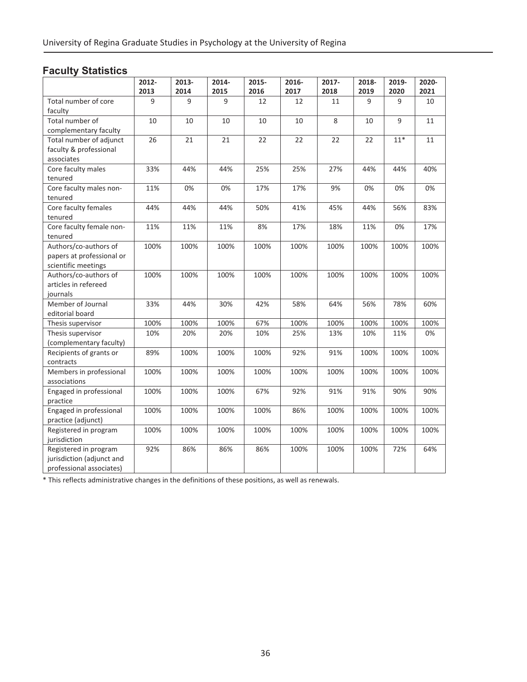# **Faculty Statistics**

|                                               | 2012- | 2013- | 2014- | 2015- | 2016- | 2017- | 2018- | 2019- | 2020- |
|-----------------------------------------------|-------|-------|-------|-------|-------|-------|-------|-------|-------|
|                                               | 2013  | 2014  | 2015  | 2016  | 2017  | 2018  | 2019  | 2020  | 2021  |
| Total number of core<br>faculty               | 9     | 9     | 9     | 12    | 12    | 11    | 9     | 9     | 10    |
| Total number of                               | 10    | 10    | 10    | 10    | 10    | 8     | 10    | 9     | 11    |
| complementary faculty                         |       |       |       |       |       |       |       |       |       |
| Total number of adjunct                       | 26    | 21    | 21    | 22    | 22    | 22    | 22    | $11*$ | 11    |
| faculty & professional                        |       |       |       |       |       |       |       |       |       |
| associates                                    |       |       |       |       |       |       |       |       |       |
| Core faculty males                            | 33%   | 44%   | 44%   | 25%   | 25%   | 27%   | 44%   | 44%   | 40%   |
| tenured                                       |       |       |       |       |       |       |       |       |       |
| Core faculty males non-                       | 11%   | $0\%$ | 0%    | 17%   | 17%   | 9%    | 0%    | 0%    | 0%    |
| tenured                                       |       |       |       |       |       |       |       |       |       |
| Core faculty females                          | 44%   | 44%   | 44%   | 50%   | 41%   | 45%   | 44%   | 56%   | 83%   |
| tenured                                       |       |       |       |       |       |       |       |       |       |
| Core faculty female non-                      | 11%   | 11%   | 11%   | 8%    | 17%   | 18%   | 11%   | 0%    | 17%   |
| tenured                                       |       |       |       |       |       |       |       |       |       |
| Authors/co-authors of                         | 100%  | 100%  | 100%  | 100%  | 100%  | 100%  | 100%  | 100%  | 100%  |
| papers at professional or                     |       |       |       |       |       |       |       |       |       |
| scientific meetings                           |       |       |       |       |       |       |       |       |       |
| Authors/co-authors of<br>articles in refereed | 100%  | 100%  | 100%  | 100%  | 100%  | 100%  | 100%  | 100%  | 100%  |
|                                               |       |       |       |       |       |       |       |       |       |
| journals<br>Member of Journal                 | 33%   | 44%   | 30%   | 42%   | 58%   | 64%   | 56%   | 78%   | 60%   |
| editorial board                               |       |       |       |       |       |       |       |       |       |
| Thesis supervisor                             | 100%  | 100%  | 100%  | 67%   | 100%  | 100%  | 100%  | 100%  | 100%  |
| Thesis supervisor                             | 10%   | 20%   | 20%   | 10%   | 25%   | 13%   | 10%   | 11%   | 0%    |
| (complementary faculty)                       |       |       |       |       |       |       |       |       |       |
| Recipients of grants or                       | 89%   | 100%  | 100%  | 100%  | 92%   | 91%   | 100%  | 100%  | 100%  |
| contracts                                     |       |       |       |       |       |       |       |       |       |
| Members in professional                       | 100%  | 100%  | 100%  | 100%  | 100%  | 100%  | 100%  | 100%  | 100%  |
| associations                                  |       |       |       |       |       |       |       |       |       |
| Engaged in professional                       | 100%  | 100%  | 100%  | 67%   | 92%   | 91%   | 91%   | 90%   | 90%   |
| practice                                      |       |       |       |       |       |       |       |       |       |
| Engaged in professional                       | 100%  | 100%  | 100%  | 100%  | 86%   | 100%  | 100%  | 100%  | 100%  |
| practice (adjunct)                            |       |       |       |       |       |       |       |       |       |
| Registered in program                         | 100%  | 100%  | 100%  | 100%  | 100%  | 100%  | 100%  | 100%  | 100%  |
| jurisdiction                                  |       |       |       |       |       |       |       |       |       |
| Registered in program                         | 92%   | 86%   | 86%   | 86%   | 100%  | 100%  | 100%  | 72%   | 64%   |
| jurisdiction (adjunct and                     |       |       |       |       |       |       |       |       |       |
| professional associates)                      |       |       |       |       |       |       |       |       |       |

\* This reflects administrative changes in the definitions of these positions, as well as renewals.